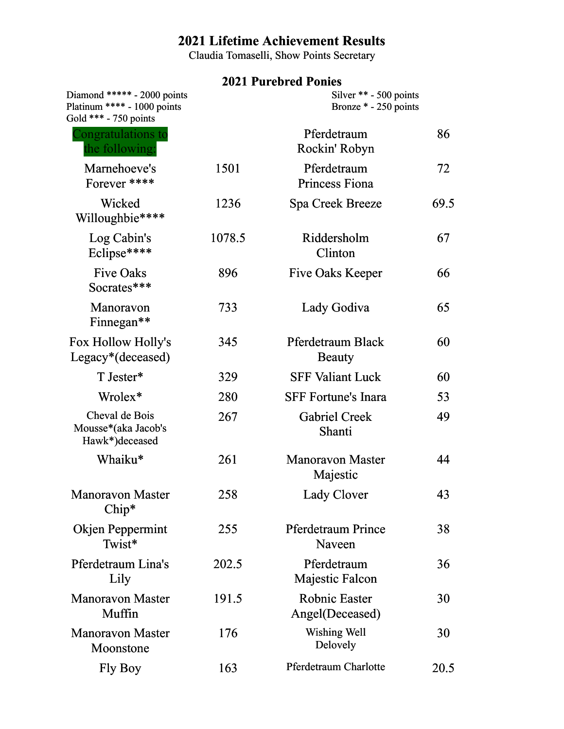# **2021 Lifetime Achievement Results**

Claudia Tomaselli, Show Points Secretary

## **2021 Purebred Ponies**

| Diamond ***** - 2000 points<br>Platinum **** - 1000 points<br>Gold *** - 750 points | Silver ** - 500 points<br>Bronze * - 250 points |                                         |      |
|-------------------------------------------------------------------------------------|-------------------------------------------------|-----------------------------------------|------|
| Congratulations to<br>the following:                                                |                                                 | Pferdetraum<br>Rockin' Robyn            | 86   |
| Marnehoeve's<br>Forever ****                                                        | 1501                                            | Pferdetraum<br>Princess Fiona           | 72   |
| Wicked<br>Willoughbie****                                                           | 1236                                            | Spa Creek Breeze                        | 69.5 |
| Log Cabin's<br>Eclipse****                                                          | 1078.5                                          | Riddersholm<br>Clinton                  | 67   |
| <b>Five Oaks</b><br>Socrates***                                                     | 896                                             | <b>Five Oaks Keeper</b>                 | 66   |
| Manoravon<br>Finnegan**                                                             | 733                                             | Lady Godiva                             | 65   |
| Fox Hollow Holly's<br>Legacy <sup>*</sup> (deceased)                                | 345                                             | Pferdetraum Black<br><b>Beauty</b>      | 60   |
| T Jester*                                                                           | 329                                             | <b>SFF Valiant Luck</b>                 | 60   |
| Wrolex*                                                                             | 280                                             | <b>SFF Fortune's Inara</b>              | 53   |
| Cheval de Bois<br>Mousse*(aka Jacob's<br>Hawk*)deceased                             | 267                                             | <b>Gabriel Creek</b><br>Shanti          | 49   |
| Whaiku*                                                                             | 261                                             | <b>Manoravon Master</b><br>Majestic     | 44   |
| <b>Manoravon Master</b><br>Chip*                                                    | 258                                             | <b>Lady Clover</b>                      | 43   |
| <b>Okjen Peppermint</b><br>Twist*                                                   | 255                                             | <b>Pferdetraum Prince</b><br>Naveen     | 38   |
| Pferdetraum Lina's<br>Lily                                                          | 202.5                                           | Pferdetraum<br><b>Majestic Falcon</b>   | 36   |
| <b>Manoravon Master</b><br>Muffin                                                   | 191.5                                           | <b>Robnic Easter</b><br>Angel(Deceased) | 30   |
| <b>Manoravon Master</b><br>Moonstone                                                | 176                                             | Wishing Well<br>Delovely                | 30   |
| Fly Boy                                                                             | 163                                             | <b>Pferdetraum Charlotte</b>            | 20.5 |